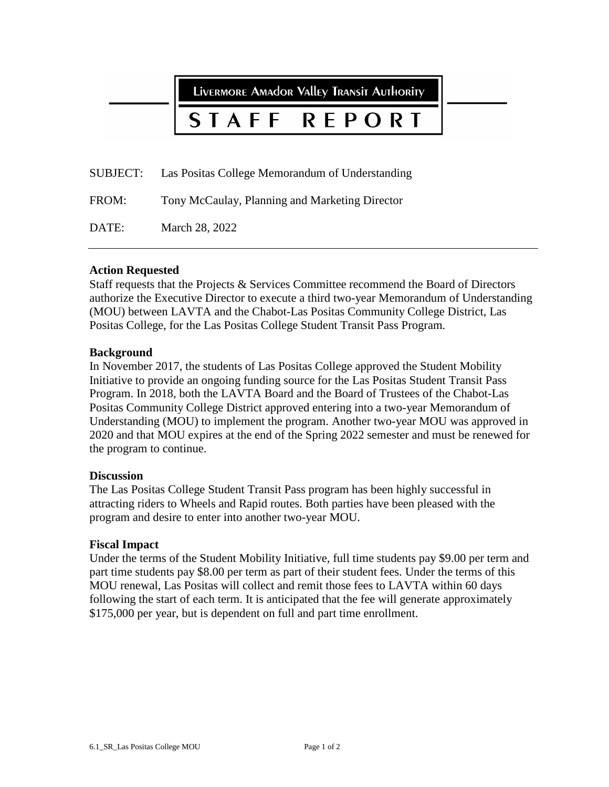LIVERMORE AMAdOR VAlley TRANSIT AUTHORITY

#### STAFF REPORT

SUBJECT: Las Positas College Memorandum of Understanding

FROM: Tony McCaulay, Planning and Marketing Director

DATE: March 28, 2022

### **Action Requested**

Staff requests that the Projects & Services Committee recommend the Board of Directors authorize the Executive Director to execute a third two-year Memorandum of Understanding (MOU) between LAVTA and the Chabot-Las Positas Community College District, Las Positas College, for the Las Positas College Student Transit Pass Program.

### **Background**

In November 2017, the students of Las Positas College approved the Student Mobility Initiative to provide an ongoing funding source for the Las Positas Student Transit Pass Program. In 2018, both the LAVTA Board and the Board of Trustees of the Chabot-Las Positas Community College District approved entering into a two-year Memorandum of Understanding (MOU) to implement the program. Another two-year MOU was approved in 2020 and that MOU expires at the end of the Spring 2022 semester and must be renewed for the program to continue.

### **Discussion**

The Las Positas College Student Transit Pass program has been highly successful in attracting riders to Wheels and Rapid routes. Both parties have been pleased with the program and desire to enter into another two-year MOU.

### **Fiscal Impact**

Under the terms of the Student Mobility Initiative, full time students pay \$9.00 per term and part time students pay \$8.00 per term as part of their student fees. Under the terms of this MOU renewal, Las Positas will collect and remit those fees to LAVTA within 60 days following the start of each term. It is anticipated that the fee will generate approximately \$175,000 per year, but is dependent on full and part time enrollment.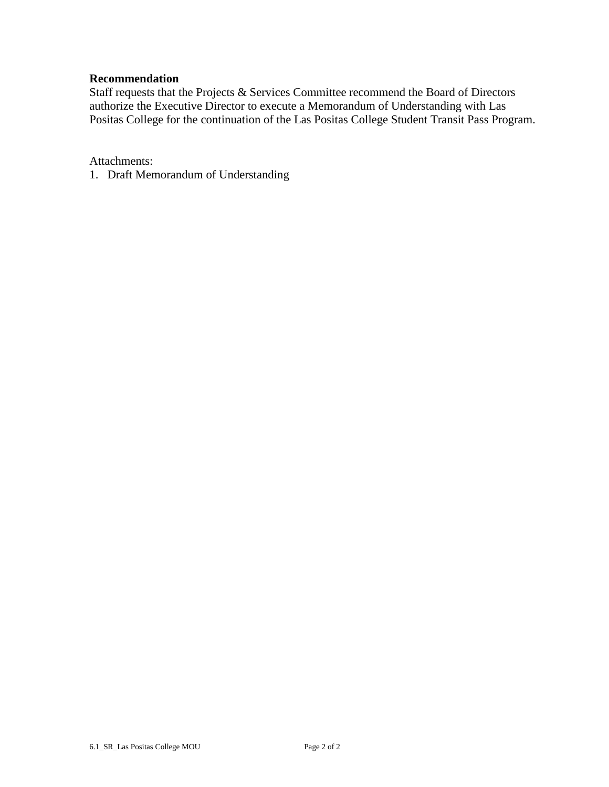### **Recommendation**

Staff requests that the Projects & Services Committee recommend the Board of Directors authorize the Executive Director to execute a Memorandum of Understanding with Las Positas College for the continuation of the Las Positas College Student Transit Pass Program.

Attachments:

1. Draft Memorandum of Understanding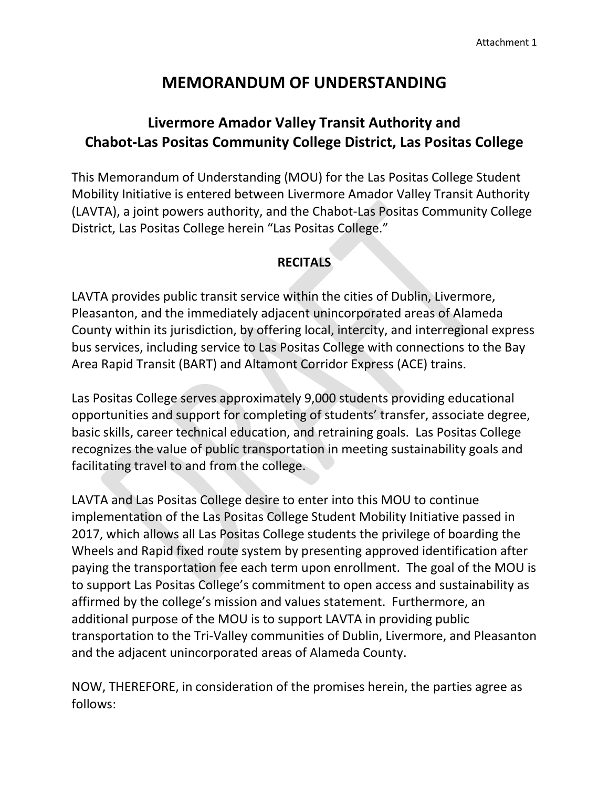# **MEMORANDUM OF UNDERSTANDING**

# **Livermore Amador Valley Transit Authority and Chabot-Las Positas Community College District, Las Positas College**

This Memorandum of Understanding (MOU) for the Las Positas College Student Mobility Initiative is entered between Livermore Amador Valley Transit Authority (LAVTA), a joint powers authority, and the Chabot-Las Positas Community College District, Las Positas College herein "Las Positas College."

## **RECITALS**

LAVTA provides public transit service within the cities of Dublin, Livermore, Pleasanton, and the immediately adjacent unincorporated areas of Alameda County within its jurisdiction, by offering local, intercity, and interregional express bus services, including service to Las Positas College with connections to the Bay Area Rapid Transit (BART) and Altamont Corridor Express (ACE) trains.

Las Positas College serves approximately 9,000 students providing educational opportunities and support for completing of students' transfer, associate degree, basic skills, career technical education, and retraining goals. Las Positas College recognizes the value of public transportation in meeting sustainability goals and facilitating travel to and from the college.

LAVTA and Las Positas College desire to enter into this MOU to continue implementation of the Las Positas College Student Mobility Initiative passed in 2017, which allows all Las Positas College students the privilege of boarding the Wheels and Rapid fixed route system by presenting approved identification after paying the transportation fee each term upon enrollment. The goal of the MOU is to support Las Positas College's commitment to open access and sustainability as affirmed by the college's mission and values statement. Furthermore, an additional purpose of the MOU is to support LAVTA in providing public transportation to the Tri-Valley communities of Dublin, Livermore, and Pleasanton and the adjacent unincorporated areas of Alameda County.

NOW, THEREFORE, in consideration of the promises herein, the parties agree as follows: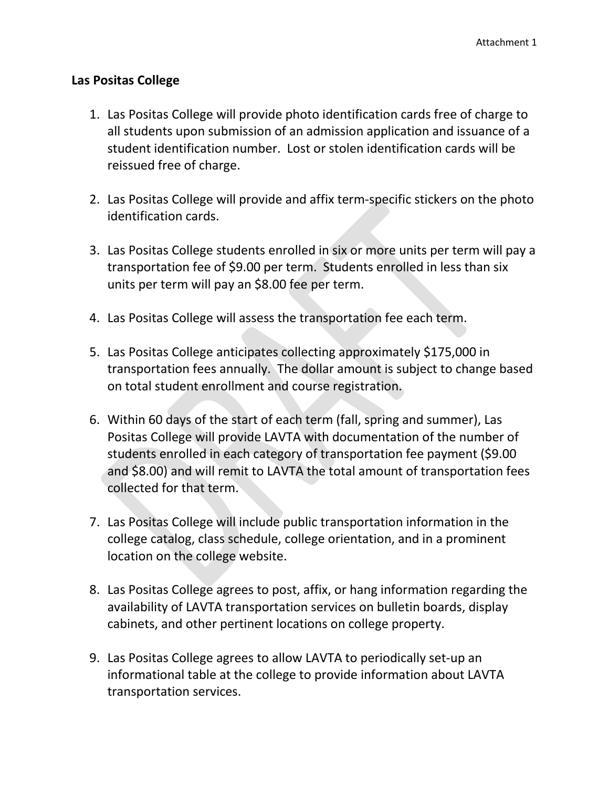### **Las Positas College**

- 1. Las Positas College will provide photo identification cards free of charge to all students upon submission of an admission application and issuance of a student identification number. Lost or stolen identification cards will be reissued free of charge.
- 2. Las Positas College will provide and affix term-specific stickers on the photo identification cards.
- 3. Las Positas College students enrolled in six or more units per term will pay a transportation fee of \$9.00 per term. Students enrolled in less than six units per term will pay an \$8.00 fee per term.
- 4. Las Positas College will assess the transportation fee each term.
- 5. Las Positas College anticipates collecting approximately \$175,000 in transportation fees annually. The dollar amount is subject to change based on total student enrollment and course registration.
- 6. Within 60 days of the start of each term (fall, spring and summer), Las Positas College will provide LAVTA with documentation of the number of students enrolled in each category of transportation fee payment (\$9.00 and \$8.00) and will remit to LAVTA the total amount of transportation fees collected for that term.
- 7. Las Positas College will include public transportation information in the college catalog, class schedule, college orientation, and in a prominent location on the college website.
- 8. Las Positas College agrees to post, affix, or hang information regarding the availability of LAVTA transportation services on bulletin boards, display cabinets, and other pertinent locations on college property.
- 9. Las Positas College agrees to allow LAVTA to periodically set-up an informational table at the college to provide information about LAVTA transportation services.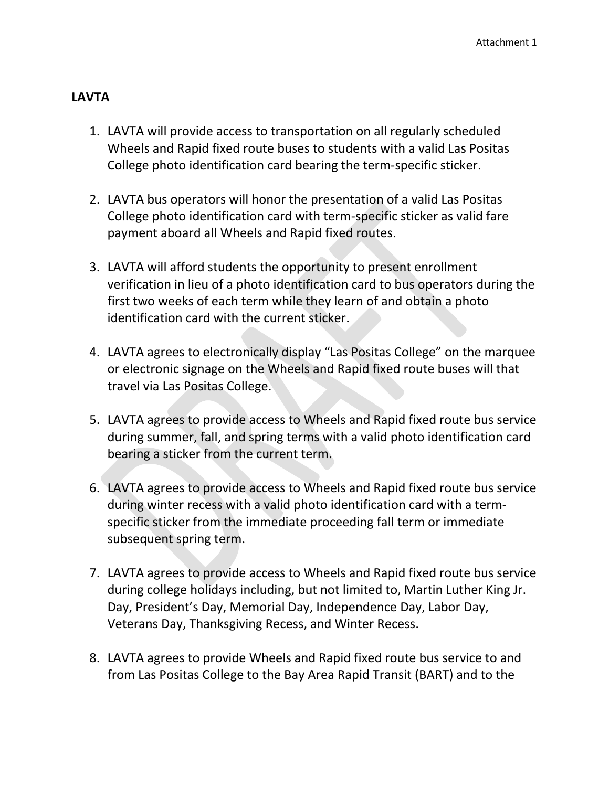### **LAVTA**

- 1. LAVTA will provide access to transportation on all regularly scheduled Wheels and Rapid fixed route buses to students with a valid Las Positas College photo identification card bearing the term-specific sticker.
- 2. LAVTA bus operators will honor the presentation of a valid Las Positas College photo identification card with term-specific sticker as valid fare payment aboard all Wheels and Rapid fixed routes.
- 3. LAVTA will afford students the opportunity to present enrollment verification in lieu of a photo identification card to bus operators during the first two weeks of each term while they learn of and obtain a photo identification card with the current sticker.
- 4. LAVTA agrees to electronically display "Las Positas College" on the marquee or electronic signage on the Wheels and Rapid fixed route buses will that travel via Las Positas College.
- 5. LAVTA agrees to provide access to Wheels and Rapid fixed route bus service during summer, fall, and spring terms with a valid photo identification card bearing a sticker from the current term.
- 6. LAVTA agrees to provide access to Wheels and Rapid fixed route bus service during winter recess with a valid photo identification card with a termspecific sticker from the immediate proceeding fall term or immediate subsequent spring term.
- 7. LAVTA agrees to provide access to Wheels and Rapid fixed route bus service during college holidays including, but not limited to, Martin Luther King Jr. Day, President's Day, Memorial Day, Independence Day, Labor Day, Veterans Day, Thanksgiving Recess, and Winter Recess.
- 8. LAVTA agrees to provide Wheels and Rapid fixed route bus service to and from Las Positas College to the Bay Area Rapid Transit (BART) and to the